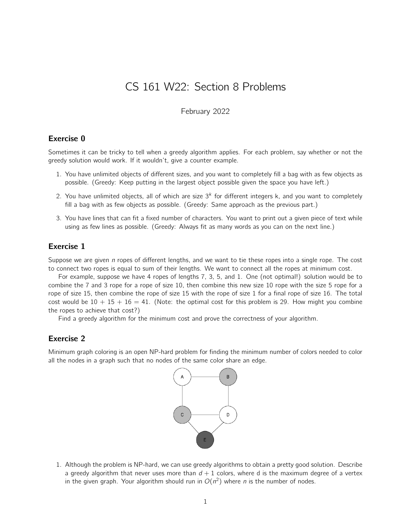# CS 161 W22: Section 8 Problems

#### February 2022

## Exercise 0

Sometimes it can be tricky to tell when a greedy algorithm applies. For each problem, say whether or not the greedy solution would work. If it wouldn't, give a counter example.

- 1. You have unlimited objects of different sizes, and you want to completely fill a bag with as few objects as possible. (Greedy: Keep putting in the largest object possible given the space you have left.)
- 2. You have unlimited objects, all of which are size  $3<sup>k</sup>$  for different integers k, and you want to completely fill a bag with as few objects as possible. (Greedy: Same approach as the previous part.)
- 3. You have lines that can fit a fixed number of characters. You want to print out a given piece of text while using as few lines as possible. (Greedy: Always fit as many words as you can on the next line.)

## Exercise 1

Suppose we are given  $n$  ropes of different lengths, and we want to tie these ropes into a single rope. The cost to connect two ropes is equal to sum of their lengths. We want to connect all the ropes at minimum cost.

For example, suppose we have 4 ropes of lengths 7, 3, 5, and 1. One (not optimal!) solution would be to combine the 7 and 3 rope for a rope of size 10, then combine this new size 10 rope with the size 5 rope for a rope of size 15, then combine the rope of size 15 with the rope of size 1 for a final rope of size 16. The total cost would be  $10 + 15 + 16 = 41$ . (Note: the optimal cost for this problem is 29. How might you combine the ropes to achieve that cost?)

Find a greedy algorithm for the minimum cost and prove the correctness of your algorithm.

### Exercise 2

Minimum graph coloring is an open NP-hard problem for finding the minimum number of colors needed to color all the nodes in a graph such that no nodes of the same color share an edge.



1. Although the problem is NP-hard, we can use greedy algorithms to obtain a pretty good solution. Describe a greedy algorithm that never uses more than  $d + 1$  colors, where d is the maximum degree of a vertex in the given graph. Your algorithm should run in  $O(n^2)$  where n is the number of nodes.